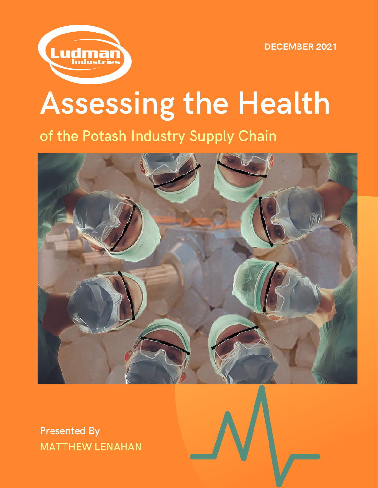



## Assessing the Health

of the Potash Industry Supply Chain



MATTHEW LENAHAN Presented By

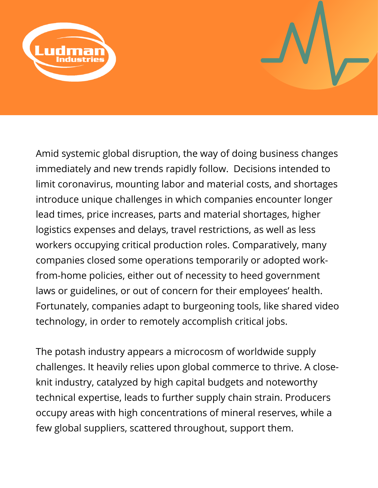

Amid systemic global disruption, the way of doing business changes immediately and new trends rapidly follow. Decisions intended to limit coronavirus, mounting labor and material costs, and shortages introduce unique challenges in which companies encounter longer lead times, price increases, parts and material shortages, higher logistics expenses and delays, travel restrictions, as well as less workers occupying critical production roles. Comparatively, many companies closed some operations temporarily or adopted workfrom-home policies, either out of necessity to heed government laws or guidelines, or out of concern for their employees' health. Fortunately, companies adapt to burgeoning tools, like shared video technology, in order to remotely accomplish critical jobs.

The potash industry appears a microcosm of worldwide supply challenges. It heavily relies upon global commerce to thrive. A closeknit industry, catalyzed by high capital budgets and noteworthy technical expertise, leads to further supply chain strain. Producers occupy areas with high concentrations of mineral reserves, while a few global suppliers, scattered throughout, support them.